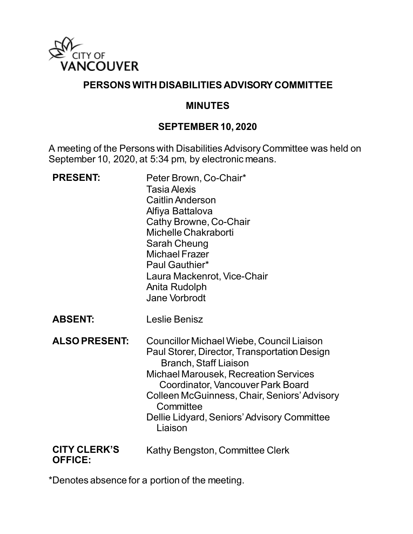

#### **PERSONS WITH DISABILITIES ADVISORY COMMITTEE**

#### **MINUTES**

#### **SEPTEMBER 10, 2020**

A meeting of the Persons with Disabilities Advisory Committee was held on September 10, 2020, at 5:34 pm, by electronic means.

| <b>PRESENT:</b>                       | Peter Brown, Co-Chair*<br><b>Tasia Alexis</b><br><b>Caitlin Anderson</b><br>Alfiya Battalova<br>Cathy Browne, Co-Chair<br>Michelle Chakraborti<br><b>Sarah Cheung</b><br><b>Michael Frazer</b><br>Paul Gauthier*<br>Laura Mackenrot, Vice-Chair<br>Anita Rudolph<br><b>Jane Vorbrodt</b>                                              |
|---------------------------------------|---------------------------------------------------------------------------------------------------------------------------------------------------------------------------------------------------------------------------------------------------------------------------------------------------------------------------------------|
| <b>ABSENT:</b>                        | Leslie Benisz                                                                                                                                                                                                                                                                                                                         |
| <b>ALSO PRESENT:</b>                  | Councillor Michael Wiebe, Council Liaison<br>Paul Storer, Director, Transportation Design<br><b>Branch, Staff Liaison</b><br><b>Michael Marousek, Recreation Services</b><br>Coordinator, Vancouver Park Board<br>Colleen McGuinness, Chair, Seniors' Advisory<br>Committee<br>Dellie Lidyard, Seniors' Advisory Committee<br>Liaison |
| <b>CITY CLERK'S</b><br><b>OFFICE:</b> | Kathy Bengston, Committee Clerk                                                                                                                                                                                                                                                                                                       |

\*Denotes absence for a portion of the meeting.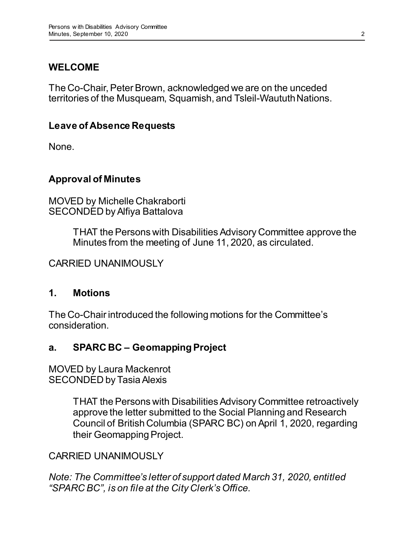# **WELCOME**

The Co-Chair, Peter Brown, acknowledged we are on the unceded territories of the Musqueam, Squamish, and Tsleil-Waututh Nations.

### **Leave of Absence Requests**

None.

### **Approval of Minutes**

MOVED by Michelle Chakraborti SECONDED by Alfiya Battalova

> THAT the Persons with Disabilities Advisory Committee approve the Minutes from the meeting of June 11, 2020, as circulated.

CARRIED UNANIMOUSLY

#### **1. Motions**

The Co-Chair introduced the following motions for the Committee's consideration.

# **a. SPARC BC – Geomapping Project**

MOVED by Laura Mackenrot SECONDED by Tasia Alexis

> THAT the Persons with Disabilities Advisory Committee retroactively approve the letter submitted to the Social Planning and Research Council of British Columbia (SPARC BC) on April 1, 2020, regarding their Geomapping Project.

### CARRIED UNANIMOUSLY

*Note: The Committee's letter of support dated March 31, 2020, entitled "SPARC BC", is on file at the City Clerk's Office.*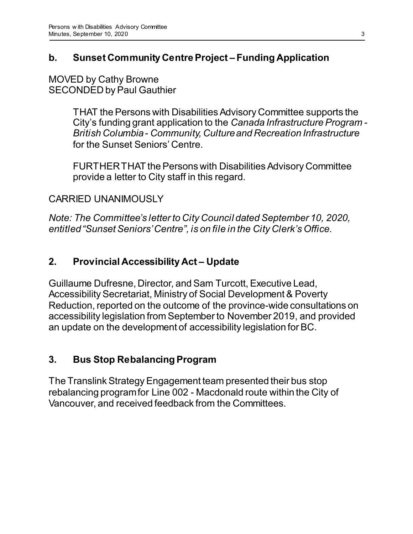# **b. Sunset Community Centre Project – Funding Application**

MOVED by Cathy Browne SECONDED by Paul Gauthier

> THAT the Persons with Disabilities Advisory Committee supports the City's funding grant application to the *Canada Infrastructure Program - British Columbia - Community, Culture and Recreation Infrastructure* for the Sunset Seniors' Centre.

FURTHER THAT the Persons with Disabilities Advisory Committee provide a letter to City staff in this regard.

### CARRIED UNANIMOUSLY

*Note: The Committee's letter to City Council dated September 10, 2020, entitled "Sunset Seniors' Centre", is on file in the City Clerk's Office.*

### **2. Provincial Accessibility Act – Update**

Guillaume Dufresne, Director, and Sam Turcott, Executive Lead, Accessibility Secretariat, Ministry of Social Development & Poverty Reduction, reported on the outcome of the province-wide consultations on accessibility legislation from September to November 2019, and provided an update on the development of accessibility legislation for BC.

# **3. Bus Stop Rebalancing Program**

The Translink Strategy Engagement team presented their bus stop rebalancing program for Line 002 - Macdonald route within the City of Vancouver, and received feedback from the Committees.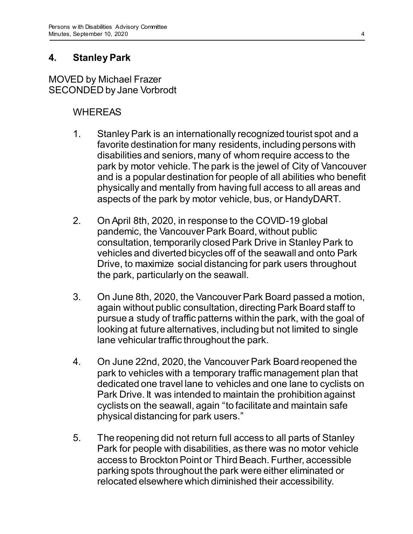### **4. Stanley Park**

MOVED by Michael Frazer SECONDED by Jane Vorbrodt

### WHEREAS

- 1. Stanley Park is an internationally recognized tourist spot and a favorite destination for many residents, including persons with disabilities and seniors, many of whom require access to the park by motor vehicle. The park is the jewel of City of Vancouver and is a popular destination for people of all abilities who benefit physically and mentally from having full access to all areas and aspects of the park by motor vehicle, bus, or HandyDART.
- 2. On April 8th, 2020, in response to the COVID-19 global pandemic, the Vancouver Park Board, without public consultation, temporarily closed Park Drive in Stanley Park to vehicles and diverted bicycles off of the seawall and onto Park Drive, to maximize social distancing for park users throughout the park, particularly on the seawall.
- 3. On June 8th, 2020, the Vancouver Park Board passed a motion, again without public consultation, directing Park Board staff to pursue a study of traffic patterns within the park, with the goal of looking at future alternatives, including but not limited to single lane vehicular traffic throughout the park.
- 4. On June 22nd, 2020, the Vancouver Park Board reopened the park to vehicles with a temporary traffic management plan that dedicated one travel lane to vehicles and one lane to cyclists on Park Drive. It was intended to maintain the prohibition against cyclists on the seawall, again "to facilitate and maintain safe physical distancing for park users."
- 5. The reopening did not return full access to all parts of Stanley Park for people with disabilities, as there was no motor vehicle access to Brockton Point or Third Beach. Further, accessible parking spots throughout the park were either eliminated or relocated elsewhere which diminished their accessibility.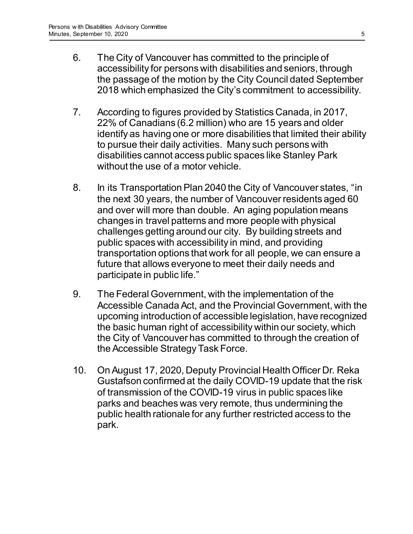- 6. The City of Vancouver has committed to the principle of accessibility for persons with disabilities and seniors, through the passage of the motion by the City Council dated September 2018 which emphasized the City's commitment to accessibility.
- 7. According to figures provided by Statistics Canada, in 2017, 22% of Canadians (6.2 million) who are 15 years and older identify as having one or more disabilities that limited their ability to pursue their daily activities. Many such persons with disabilities cannot access public spaces like Stanley Park without the use of a motor vehicle.
- 8. In its Transportation Plan 2040 the City of Vancouver states, "in the next 30 years, the number of Vancouver residents aged 60 and over will more than double. An aging population means changes in travel patterns and more people with physical challenges getting around our city. By building streets and public spaces with accessibility in mind, and providing transportation options that work for all people, we can ensure a future that allows everyone to meet their daily needs and participate in public life."
- 9. The Federal Government, with the implementation of the Accessible Canada Act, and the Provincial Government, with the upcoming introduction of accessible legislation, have recognized the basic human right of accessibility within our society, which the City of Vancouver has committed to through the creation of the Accessible Strategy Task Force.
- 10. On August 17, 2020, Deputy Provincial Health Officer Dr. Reka Gustafson confirmed at the daily COVID-19 update that the risk of transmission of the COVID-19 virus in public spaces like parks and beaches was very remote, thus undermining the public health rationale for any further restricted access to the park.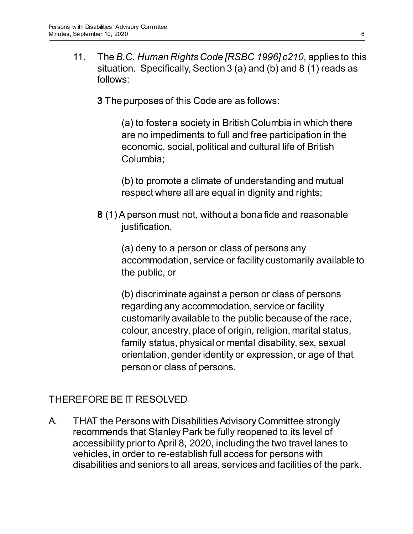- 11. The *B.C. Human Rights Code [RSBC 1996] c210*, applies to this situation. Specifically, Section 3 (a) and (b) and 8 (1) reads as follows:
	- **3** The purposes of this Code are as follows:

(a) to foster a society in British Columbia in which there are no impediments to full and free participation in the economic, social, political and cultural life of British Columbia;

(b) to promote a climate of understanding and mutual respect where all are equal in dignity and rights;

**8** (1)A person must not, without a bona fide and reasonable justification,

(a) deny to a person or class of persons any accommodation, service or facility customarily available to the public, or

(b) discriminate against a person or class of persons regarding any accommodation, service or facility customarily available to the public because of the race, colour, ancestry, place of origin, religion, marital status, family status, physical or mental disability, sex, sexual orientation, gender identity or expression, or age of that person or class of persons.

# THEREFORE BE IT RESOLVED

A. THAT the Persons with Disabilities Advisory Committee strongly recommends that Stanley Park be fully reopened to its level of accessibility prior to April 8, 2020, including the two travel lanes to vehicles, in order to re-establish full access for persons with disabilities and seniors to all areas, services and facilities of the park.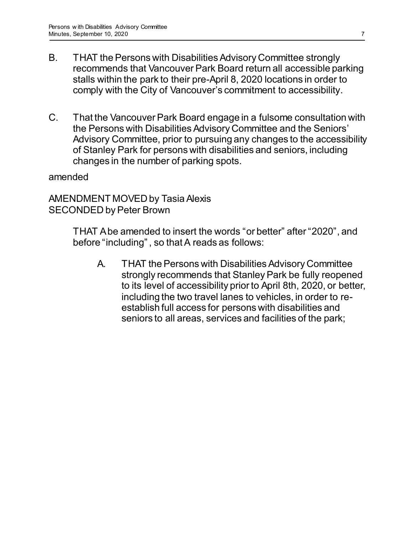- B. THAT the Persons with Disabilities Advisory Committee strongly recommends that Vancouver Park Board return all accessible parking stalls within the park to their pre-April 8, 2020 locations in order to comply with the City of Vancouver's commitment to accessibility.
- C. That the Vancouver Park Board engage in a fulsome consultation with the Persons with Disabilities Advisory Committee and the Seniors' Advisory Committee, prior to pursuing any changes to the accessibility of Stanley Park for persons with disabilities and seniors, including changes in the number of parking spots.

amended

AMENDMENT MOVED by Tasia Alexis SECONDED by Peter Brown

> THAT A be amended to insert the words "or better" after "2020", and before "including" , so that A reads as follows:

A. THAT the Persons with Disabilities Advisory Committee strongly recommends that Stanley Park be fully reopened to its level of accessibility prior to April 8th, 2020, or better, including the two travel lanes to vehicles, in order to reestablish full access for persons with disabilities and seniors to all areas, services and facilities of the park;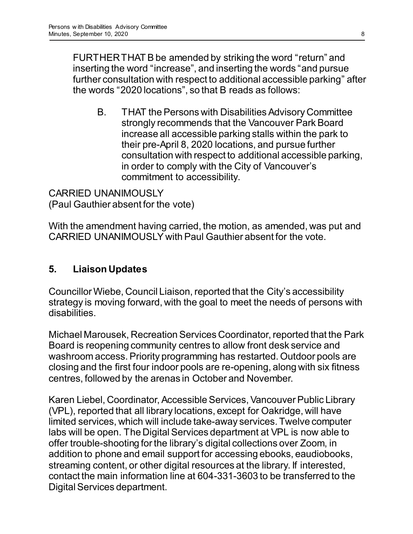FURTHER THAT B be amended by striking the word "return" and inserting the word "increase", and inserting the words "and pursue further consultation with respect to additional accessible parking" after the words "2020 locations", so that B reads as follows:

B. THAT the Persons with Disabilities Advisory Committee strongly recommends that the Vancouver Park Board increase all accessible parking stalls within the park to their pre-April 8, 2020 locations, and pursue further consultation with respect to additional accessible parking, in order to comply with the City of Vancouver's commitment to accessibility.

CARRIED UNANIMOUSLY (Paul Gauthier absent for the vote)

With the amendment having carried, the motion, as amended, was put and CARRIED UNANIMOUSLY with Paul Gauthier absent for the vote.

# **5. Liaison Updates**

Councillor Wiebe, Council Liaison, reported that the City's accessibility strategy is moving forward, with the goal to meet the needs of persons with disabilities.

Michael Marousek, Recreation Services Coordinator, reported that the Park Board is reopening community centres to allow front desk service and washroom access. Priority programming has restarted. Outdoor pools are closing and the first four indoor pools are re-opening, along with six fitness centres, followed by the arenas in October and November.

Karen Liebel, Coordinator, Accessible Services, Vancouver Public Library (VPL), reported that all library locations, except for Oakridge, will have limited services, which will include take-away services. Twelve computer labs will be open. The Digital Services department at VPL is now able to offer trouble-shooting for the library's digital collections over Zoom, in addition to phone and email support for accessing ebooks, eaudiobooks, streaming content, or other digital resources at the library. If interested, contact the main information line at 604-331-3603 to be transferred to the Digital Services department.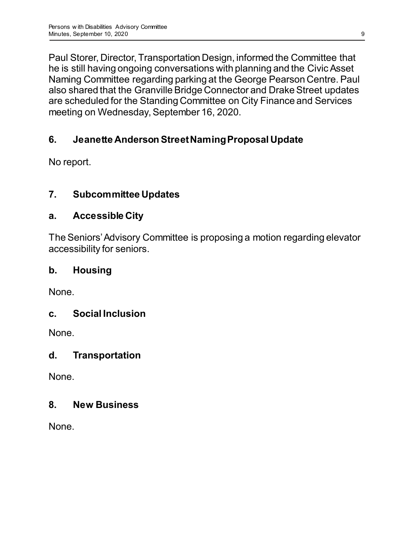Paul Storer, Director, Transportation Design, informed the Committee that he is still having ongoing conversations with planning and the Civic Asset Naming Committee regarding parking at the George Pearson Centre. Paul also shared that the Granville Bridge Connector and Drake Street updates are scheduled for the Standing Committee on City Finance and Services meeting on Wednesday, September 16, 2020.

# **6. Jeanette Anderson Street Naming Proposal Update**

No report.

# **7. Subcommittee Updates**

# **a. Accessible City**

The Seniors' Advisory Committee is proposing a motion regarding elevator accessibility for seniors.

# **b. Housing**

None.

# **c. Social Inclusion**

None.

# **d. Transportation**

None.

# **8. New Business**

None.